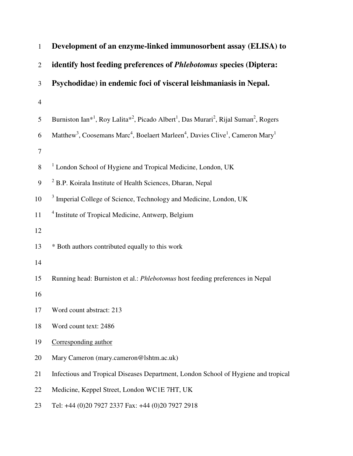| $\mathbf{1}$   | Development of an enzyme-linked immunosorbent assay (ELISA) to                                                                                    |  |  |  |  |  |
|----------------|---------------------------------------------------------------------------------------------------------------------------------------------------|--|--|--|--|--|
| $\overline{2}$ | identify host feeding preferences of Phlebotomus species (Diptera:                                                                                |  |  |  |  |  |
| 3              | Psychodidae) in endemic foci of visceral leishmaniasis in Nepal.                                                                                  |  |  |  |  |  |
| $\overline{4}$ |                                                                                                                                                   |  |  |  |  |  |
| 5              | Burniston Ian <sup>*1</sup> , Roy Lalita <sup>*2</sup> , Picado Albert <sup>1</sup> , Das Murari <sup>2</sup> , Rijal Suman <sup>2</sup> , Rogers |  |  |  |  |  |
| 6              | Matthew <sup>3</sup> , Coosemans Marc <sup>4</sup> , Boelaert Marleen <sup>4</sup> , Davies Clive <sup>1</sup> , Cameron Mary <sup>1</sup>        |  |  |  |  |  |
| 7              |                                                                                                                                                   |  |  |  |  |  |
| 8              | <sup>1</sup> London School of Hygiene and Tropical Medicine, London, UK                                                                           |  |  |  |  |  |
| 9              | <sup>2</sup> B.P. Koirala Institute of Health Sciences, Dharan, Nepal                                                                             |  |  |  |  |  |
| 10             | <sup>3</sup> Imperial College of Science, Technology and Medicine, London, UK                                                                     |  |  |  |  |  |
| 11             | <sup>4</sup> Institute of Tropical Medicine, Antwerp, Belgium                                                                                     |  |  |  |  |  |
| 12             |                                                                                                                                                   |  |  |  |  |  |
| 13             | * Both authors contributed equally to this work                                                                                                   |  |  |  |  |  |
| 14             |                                                                                                                                                   |  |  |  |  |  |
| 15             | Running head: Burniston et al.: Phlebotomus host feeding preferences in Nepal                                                                     |  |  |  |  |  |
| 16             |                                                                                                                                                   |  |  |  |  |  |
| 17             | Word count abstract: 213                                                                                                                          |  |  |  |  |  |
| 18             | Word count text: 2486                                                                                                                             |  |  |  |  |  |
| 19             | Corresponding author                                                                                                                              |  |  |  |  |  |
| 20             | Mary Cameron (mary.cameron@lshtm.ac.uk)                                                                                                           |  |  |  |  |  |
| 21             | Infectious and Tropical Diseases Department, London School of Hygiene and tropical                                                                |  |  |  |  |  |
| 22             | Medicine, Keppel Street, London WC1E 7HT, UK                                                                                                      |  |  |  |  |  |
| 23             | Tel: +44 (0)20 7927 2337 Fax: +44 (0)20 7927 2918                                                                                                 |  |  |  |  |  |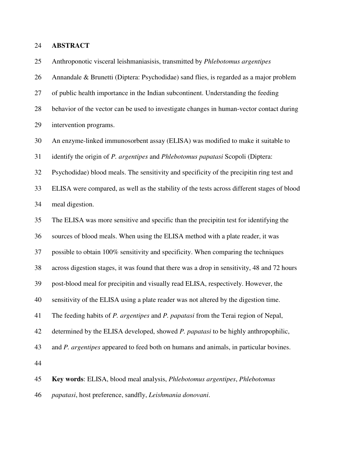#### 24 **ABSTRACT**

25 Anthroponotic visceral leishmaniasisis, transmitted by *Phlebotomus argentipes*

26 Annandale & Brunetti (Diptera: Psychodidae) sand flies, is regarded as a major problem 27 of public health importance in the Indian subcontinent. Understanding the feeding 28 behavior of the vector can be used to investigate changes in human-vector contact during

29 intervention programs.

30 An enzyme-linked immunosorbent assay (ELISA) was modified to make it suitable to

31 identify the origin of *P. argentipes* and *Phlebotomus papatasi* Scopoli (Diptera:

32 Psychodidae) blood meals. The sensitivity and specificity of the precipitin ring test and

33 ELISA were compared, as well as the stability of the tests across different stages of blood 34 meal digestion.

35 The ELISA was more sensitive and specific than the precipitin test for identifying the

36 sources of blood meals. When using the ELISA method with a plate reader, it was

37 possible to obtain 100% sensitivity and specificity. When comparing the techniques

38 across digestion stages, it was found that there was a drop in sensitivity, 48 and 72 hours

39 post-blood meal for precipitin and visually read ELISA, respectively. However, the

40 sensitivity of the ELISA using a plate reader was not altered by the digestion time.

41 The feeding habits of *P. argentipes* and *P. papatasi* from the Terai region of Nepal,

42 determined by the ELISA developed, showed *P. papatasi* to be highly anthropophilic,

43 and *P. argentipes* appeared to feed both on humans and animals, in particular bovines.

44

45 **Key words**: ELISA, blood meal analysis, *Phlebotomus argentipes*, *Phlebotomus* 

46 *papatasi*, host preference, sandfly, *Leishmania donovani*.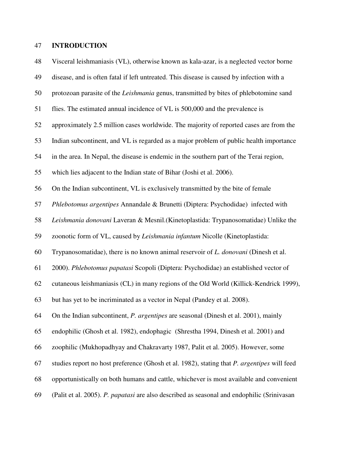### 47 **INTRODUCTION**

48 Visceral leishmaniasis (VL), otherwise known as kala-azar, is a neglected vector borne 49 disease, and is often fatal if left untreated. This disease is caused by infection with a 50 protozoan parasite of the *Leishmania* genus, transmitted by bites of phlebotomine sand 51 flies. The estimated annual incidence of VL is 500,000 and the prevalence is 52 approximately 2.5 million cases worldwide. The majority of reported cases are from the 53 Indian subcontinent, and VL is regarded as a major problem of public health importance 54 in the area. In Nepal, the disease is endemic in the southern part of the Terai region, 55 which lies adjacent to the Indian state of Bihar (Joshi et al. 2006). 56 On the Indian subcontinent, VL is exclusively transmitted by the bite of female 57 *Phlebotomus argentipes* Annandale & Brunetti (Diptera: Psychodidae) infected with 58 *Leishmania donovani* Laveran & Mesnil.(Kinetoplastida: Trypanosomatidae) Unlike the 59 zoonotic form of VL, caused by *Leishmania infantum* Nicolle (Kinetoplastida: 60 Trypanosomatidae), there is no known animal reservoir of *L. donovani* (Dinesh et al. 61 2000). *Phlebotomus papatasi* Scopoli (Diptera: Psychodidae) an established vector of 62 cutaneous leishmaniasis (CL) in many regions of the Old World (Killick-Kendrick 1999), 63 but has yet to be incriminated as a vector in Nepal (Pandey et al. 2008). 64 On the Indian subcontinent, *P. argentipes* are seasonal (Dinesh et al. 2001), mainly 65 endophilic (Ghosh et al. 1982), endophagic (Shrestha 1994, Dinesh et al. 2001) and 66 zoophilic (Mukhopadhyay and Chakravarty 1987, Palit et al. 2005). However, some 67 studies report no host preference (Ghosh et al. 1982), stating that *P. argentipes* will feed 68 opportunistically on both humans and cattle, whichever is most available and convenient 69 (Palit et al. 2005). *P. papatasi* are also described as seasonal and endophilic (Srinivasan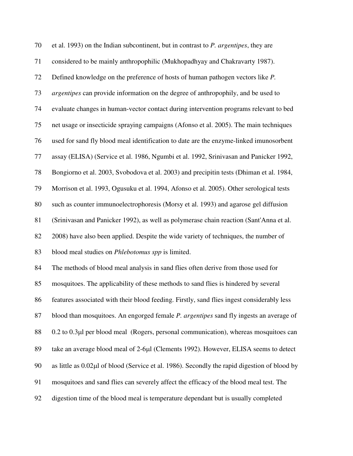70 et al. 1993) on the Indian subcontinent, but in contrast to *P. argentipes*, they are 71 considered to be mainly anthropophilic (Mukhopadhyay and Chakravarty 1987). 72 Defined knowledge on the preference of hosts of human pathogen vectors like *P.*  73 *argentipes* can provide information on the degree of anthropophily, and be used to 74 evaluate changes in human-vector contact during intervention programs relevant to bed 75 net usage or insecticide spraying campaigns (Afonso et al. 2005). The main techniques 76 used for sand fly blood meal identification to date are the enzyme-linked imunosorbent 77 assay (ELISA) (Service et al. 1986, Ngumbi et al. 1992, Srinivasan and Panicker 1992, 78 Bongiorno et al. 2003, Svobodova et al. 2003) and precipitin tests (Dhiman et al. 1984, 79 Morrison et al. 1993, Ogusuku et al. 1994, Afonso et al. 2005). Other serological tests 80 such as counter immunoelectrophoresis (Morsy et al. 1993) and agarose gel diffusion 81 (Srinivasan and Panicker 1992), as well as polymerase chain reaction (Sant'Anna et al. 82 2008) have also been applied. Despite the wide variety of techniques, the number of 83 blood meal studies on *Phlebotomus spp* is limited. 84 The methods of blood meal analysis in sand flies often derive from those used for 85 mosquitoes. The applicability of these methods to sand flies is hindered by several 86 features associated with their blood feeding. Firstly, sand flies ingest considerably less 87 blood than mosquitoes. An engorged female *P. argentipes* sand fly ingests an average of 88 0.2 to 0.3µl per blood meal (Rogers, personal communication), whereas mosquitoes can 89 take an average blood meal of 2-6µl (Clements 1992). However, ELISA seems to detect 90 as little as 0.02µl of blood (Service et al. 1986). Secondly the rapid digestion of blood by

91 mosquitoes and sand flies can severely affect the efficacy of the blood meal test. The

92 digestion time of the blood meal is temperature dependant but is usually completed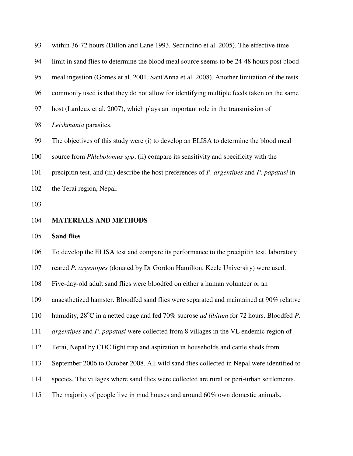| 93  | within 36-72 hours (Dillon and Lane 1993, Secundino et al. 2005). The effective time                |  |  |  |  |  |
|-----|-----------------------------------------------------------------------------------------------------|--|--|--|--|--|
| 94  | limit in sand flies to determine the blood meal source seems to be 24-48 hours post blood           |  |  |  |  |  |
| 95  | meal ingestion (Gomes et al. 2001, Sant'Anna et al. 2008). Another limitation of the tests          |  |  |  |  |  |
| 96  | commonly used is that they do not allow for identifying multiple feeds taken on the same            |  |  |  |  |  |
| 97  | host (Lardeux et al. 2007), which plays an important role in the transmission of                    |  |  |  |  |  |
| 98  | Leishmania parasites.                                                                               |  |  |  |  |  |
| 99  | The objectives of this study were (i) to develop an ELISA to determine the blood meal               |  |  |  |  |  |
| 100 | source from <i>Phlebotomus spp</i> , (ii) compare its sensitivity and specificity with the          |  |  |  |  |  |
| 101 | precipitin test, and (iii) describe the host preferences of P. argentipes and P. papatasi in        |  |  |  |  |  |
| 102 | the Terai region, Nepal.                                                                            |  |  |  |  |  |
| 103 |                                                                                                     |  |  |  |  |  |
|     |                                                                                                     |  |  |  |  |  |
| 104 | <b>MATERIALS AND METHODS</b>                                                                        |  |  |  |  |  |
| 105 | <b>Sand flies</b>                                                                                   |  |  |  |  |  |
| 106 | To develop the ELISA test and compare its performance to the precipitin test, laboratory            |  |  |  |  |  |
| 107 | reared P. argentipes (donated by Dr Gordon Hamilton, Keele University) were used.                   |  |  |  |  |  |
| 108 | Five-day-old adult sand flies were bloodfed on either a human volunteer or an                       |  |  |  |  |  |
| 109 | anaesthetized hamster. Bloodfed sand flies were separated and maintained at 90% relative            |  |  |  |  |  |
| 110 | humidity, 28°C in a netted cage and fed 70% sucrose <i>ad libitum</i> for 72 hours. Bloodfed P.     |  |  |  |  |  |
| 111 | <i>argentipes</i> and <i>P. papatasi</i> were collected from 8 villages in the VL endemic region of |  |  |  |  |  |
| 112 | Terai, Nepal by CDC light trap and aspiration in households and cattle sheds from                   |  |  |  |  |  |
| 113 | September 2006 to October 2008. All wild sand flies collected in Nepal were identified to           |  |  |  |  |  |
| 114 | species. The villages where sand flies were collected are rural or peri-urban settlements.          |  |  |  |  |  |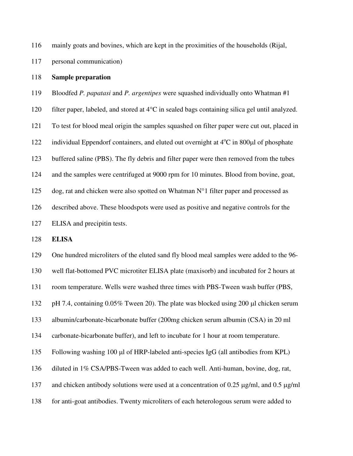116 mainly goats and bovines, which are kept in the proximities of the households (Rijal,

117 personal communication)

### 118 **Sample preparation**

119 Bloodfed *P. papatasi* and *P. argentipes* were squashed individually onto Whatman #1

120 filter paper, labeled, and stored at 4°C in sealed bags containing silica gel until analyzed.

121 To test for blood meal origin the samples squashed on filter paper were cut out, placed in

122 individual Eppendorf containers, and eluted out overnight at  $4^{\circ}$ C in 800 $\mu$ l of phosphate

123 buffered saline (PBS). The fly debris and filter paper were then removed from the tubes

124 and the samples were centrifuged at 9000 rpm for 10 minutes. Blood from bovine, goat,

125 dog, rat and chicken were also spotted on Whatman  $N^{\circ}$ 1 filter paper and processed as

126 described above. These bloodspots were used as positive and negative controls for the

127 ELISA and precipitin tests.

128 **ELISA** 

129 One hundred microliters of the eluted sand fly blood meal samples were added to the 96-

130 well flat-bottomed PVC microtiter ELISA plate (maxisorb) and incubated for 2 hours at

131 room temperature. Wells were washed three times with PBS-Tween wash buffer (PBS,

132 pH 7.4, containing 0.05% Tween 20). The plate was blocked using 200 µl chicken serum

133 albumin/carbonate-bicarbonate buffer (200mg chicken serum albumin (CSA) in 20 ml

134 carbonate-bicarbonate buffer), and left to incubate for 1 hour at room temperature.

135 Following washing 100 µl of HRP-labeled anti-species IgG (all antibodies from KPL)

136 diluted in 1% CSA/PBS-Tween was added to each well. Anti-human, bovine, dog, rat,

137 and chicken antibody solutions were used at a concentration of 0.25  $\mu$ g/ml, and 0.5  $\mu$ g/ml

138 for anti-goat antibodies. Twenty microliters of each heterologous serum were added to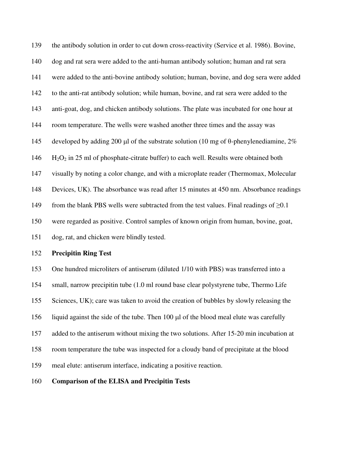139 the antibody solution in order to cut down cross-reactivity (Service et al. 1986). Bovine, 140 dog and rat sera were added to the anti-human antibody solution; human and rat sera 141 were added to the anti-bovine antibody solution; human, bovine, and dog sera were added 142 to the anti-rat antibody solution; while human, bovine, and rat sera were added to the 143 anti-goat, dog, and chicken antibody solutions. The plate was incubated for one hour at 144 room temperature. The wells were washed another three times and the assay was 145 developed by adding 200 µl of the substrate solution (10 mg of  $\theta$ -phenylenediamine, 2%  $146$  H<sub>2</sub>O<sub>2</sub> in 25 ml of phosphate-citrate buffer) to each well. Results were obtained both 147 visually by noting a color change, and with a microplate reader (Thermomax, Molecular 148 Devices, UK). The absorbance was read after 15 minutes at 450 nm. Absorbance readings 149 from the blank PBS wells were subtracted from the test values. Final readings of  $\geq 0.1$ 150 were regarded as positive. Control samples of known origin from human, bovine, goat, 151 dog, rat, and chicken were blindly tested.

#### 152 **Precipitin Ring Test**

153 One hundred microliters of antiserum (diluted 1/10 with PBS) was transferred into a 154 small, narrow precipitin tube (1.0 ml round base clear polystyrene tube, Thermo Life 155 Sciences, UK); care was taken to avoid the creation of bubbles by slowly releasing the 156 liquid against the side of the tube. Then 100 µl of the blood meal elute was carefully 157 added to the antiserum without mixing the two solutions. After 15-20 min incubation at 158 room temperature the tube was inspected for a cloudy band of precipitate at the blood 159 meal elute: antiserum interface, indicating a positive reaction.

## 160 **Comparison of the ELISA and Precipitin Tests**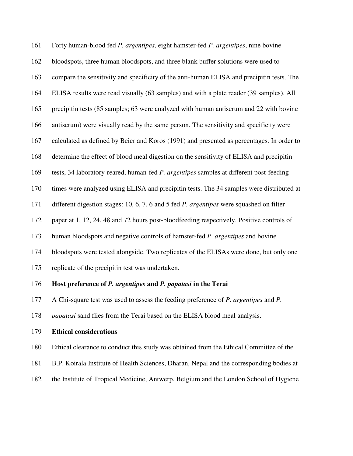161 Forty human-blood fed *P. argentipes*, eight hamster-fed *P. argentipes*, nine bovine 162 bloodspots, three human bloodspots, and three blank buffer solutions were used to 163 compare the sensitivity and specificity of the anti-human ELISA and precipitin tests. The 164 ELISA results were read visually (63 samples) and with a plate reader (39 samples). All 165 precipitin tests (85 samples; 63 were analyzed with human antiserum and 22 with bovine 166 antiserum) were visually read by the same person. The sensitivity and specificity were 167 calculated as defined by Beier and Koros (1991) and presented as percentages. In order to 168 determine the effect of blood meal digestion on the sensitivity of ELISA and precipitin 169 tests, 34 laboratory-reared, human-fed *P. argentipes* samples at different post-feeding 170 times were analyzed using ELISA and precipitin tests. The 34 samples were distributed at 171 different digestion stages: 10, 6, 7, 6 and 5 fed *P. argentipes* were squashed on filter 172 paper at 1, 12, 24, 48 and 72 hours post-bloodfeeding respectively. Positive controls of 173 human bloodspots and negative controls of hamster-fed *P. argentipes* and bovine 174 bloodspots were tested alongside. Two replicates of the ELISAs were done, but only one 175 replicate of the precipitin test was undertaken. 176 **Host preference of** *P. argentipes* **and** *P. papatasi* **in the Terai**  177 A Chi-square test was used to assess the feeding preference of *P. argentipes* and *P.* 

178 *papatasi* sand flies from the Terai based on the ELISA blood meal analysis.

179 **Ethical considerations** 

180 Ethical clearance to conduct this study was obtained from the Ethical Committee of the

- 181 B.P. Koirala Institute of Health Sciences, Dharan, Nepal and the corresponding bodies at
- 182 the Institute of Tropical Medicine, Antwerp, Belgium and the London School of Hygiene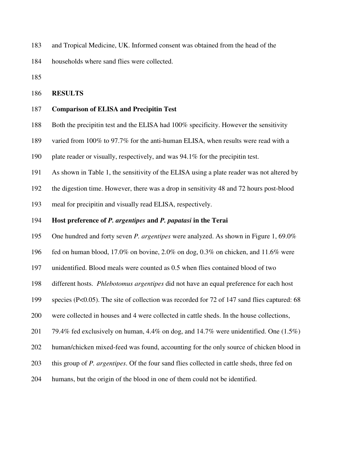183 and Tropical Medicine, UK. Informed consent was obtained from the head of the

184 households where sand flies were collected.

185

#### 186 **RESULTS**

## 187 **Comparison of ELISA and Precipitin Test**

- 188 Both the precipitin test and the ELISA had 100% specificity. However the sensitivity
- 189 varied from 100% to 97.7% for the anti-human ELISA, when results were read with a
- 190 plate reader or visually, respectively, and was 94.1% for the precipitin test.
- 191 As shown in Table 1, the sensitivity of the ELISA using a plate reader was not altered by
- 192 the digestion time. However, there was a drop in sensitivity 48 and 72 hours post-blood
- 193 meal for precipitin and visually read ELISA, respectively.

#### 194 **Host preference of** *P. argentipes* **and** *P. papatasi* **in the Terai**

- 195 One hundred and forty seven *P. argentipes* were analyzed. As shown in Figure 1, 69.0%
- 196 fed on human blood, 17.0% on bovine, 2.0% on dog, 0.3% on chicken, and 11.6% were
- 197 unidentified. Blood meals were counted as 0.5 when flies contained blood of two
- 198 different hosts. *Phlebotomus argentipes* did not have an equal preference for each host
- 199 species (P<0.05). The site of collection was recorded for 72 of 147 sand flies captured: 68
- 200 were collected in houses and 4 were collected in cattle sheds. In the house collections,
- 201 79.4% fed exclusively on human,  $4.4\%$  on dog, and  $14.7\%$  were unidentified. One  $(1.5\%)$
- 202 human/chicken mixed-feed was found, accounting for the only source of chicken blood in
- 203 this group of *P. argentipes*. Of the four sand flies collected in cattle sheds, three fed on
- 204 humans, but the origin of the blood in one of them could not be identified.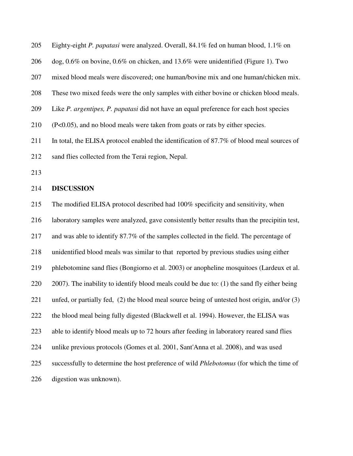205 Eighty-eight *P. papatasi* were analyzed. Overall, 84.1% fed on human blood, 1.1% on

206 dog, 0.6% on bovine, 0.6% on chicken, and 13.6% were unidentified (Figure 1). Two

207 mixed blood meals were discovered; one human/bovine mix and one human/chicken mix.

208 These two mixed feeds were the only samples with either bovine or chicken blood meals.

209 Like *P. argentipes, P. papatasi* did not have an equal preference for each host species

210 (P<0.05), and no blood meals were taken from goats or rats by either species.

211 In total, the ELISA protocol enabled the identification of 87.7% of blood meal sources of

212 sand flies collected from the Terai region, Nepal.

213

#### 214 **DISCUSSION**

215 The modified ELISA protocol described had 100% specificity and sensitivity, when

216 laboratory samples were analyzed, gave consistently better results than the precipitin test,

217 and was able to identify 87.7% of the samples collected in the field. The percentage of

218 unidentified blood meals was similar to that reported by previous studies using either

219 phlebotomine sand flies (Bongiorno et al. 2003) or anopheline mosquitoes (Lardeux et al.

220 2007). The inability to identify blood meals could be due to: (1) the sand fly either being

221 unfed, or partially fed, (2) the blood meal source being of untested host origin, and/or (3)

222 the blood meal being fully digested (Blackwell et al. 1994). However, the ELISA was

223 able to identify blood meals up to 72 hours after feeding in laboratory reared sand flies

224 unlike previous protocols (Gomes et al. 2001, Sant'Anna et al. 2008), and was used

225 successfully to determine the host preference of wild *Phlebotomus* (for which the time of

226 digestion was unknown).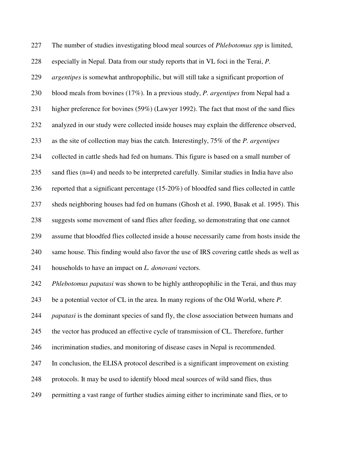227 The number of studies investigating blood meal sources of *Phlebotomus spp* is limited, 228 especially in Nepal. Data from our study reports that in VL foci in the Terai, *P.*  229 *argentipes* is somewhat anthropophilic, but will still take a significant proportion of 230 blood meals from bovines (17%). In a previous study, *P. argentipes* from Nepal had a 231 higher preference for bovines (59%) (Lawyer 1992). The fact that most of the sand flies 232 analyzed in our study were collected inside houses may explain the difference observed, 233 as the site of collection may bias the catch. Interestingly, 75% of the *P. argentipes* 234 collected in cattle sheds had fed on humans. This figure is based on a small number of 235 sand flies (n=4) and needs to be interpreted carefully. Similar studies in India have also 236 reported that a significant percentage (15-20%) of bloodfed sand flies collected in cattle 237 sheds neighboring houses had fed on humans (Ghosh et al. 1990, Basak et al. 1995). This 238 suggests some movement of sand flies after feeding, so demonstrating that one cannot 239 assume that bloodfed flies collected inside a house necessarily came from hosts inside the 240 same house. This finding would also favor the use of IRS covering cattle sheds as well as 241 households to have an impact on *L. donovani* vectors. 242 *Phlebotomus papatasi* was shown to be highly anthropophilic in the Terai, and thus may 243 be a potential vector of CL in the area. In many regions of the Old World, where *P.*  244 *papatasi* is the dominant species of sand fly, the close association between humans and 245 the vector has produced an effective cycle of transmission of CL. Therefore, further 246 incrimination studies, and monitoring of disease cases in Nepal is recommended. 247 In conclusion, the ELISA protocol described is a significant improvement on existing 248 protocols. It may be used to identify blood meal sources of wild sand flies, thus

249 permitting a vast range of further studies aiming either to incriminate sand flies, or to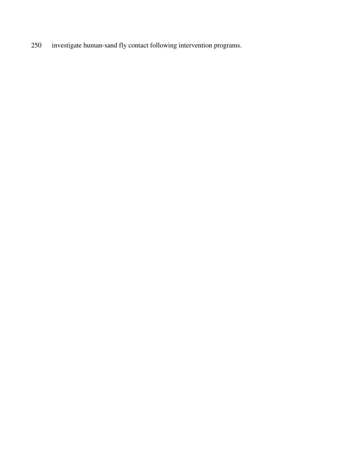250 investigate human-sand fly contact following intervention programs.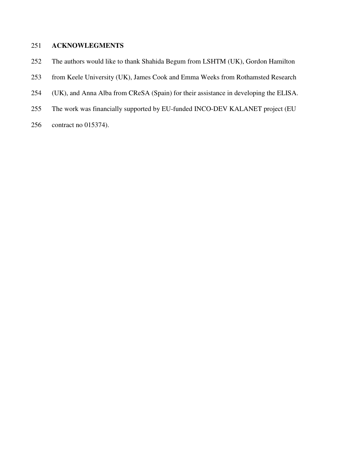# 251 **ACKNOWLEGMENTS**

- 252 The authors would like to thank Shahida Begum from LSHTM (UK), Gordon Hamilton
- 253 from Keele University (UK), James Cook and Emma Weeks from Rothamsted Research
- 254 (UK), and Anna Alba from CReSA (Spain) for their assistance in developing the ELISA.
- 255 The work was financially supported by EU-funded INCO-DEV KALANET project (EU
- 256 contract no 015374).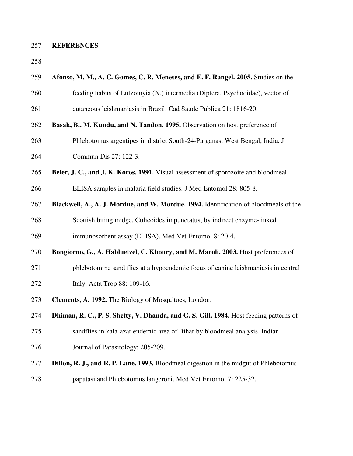## 257 **REFERENCES**

258

| 259 | Afonso, M. M., A. C. Gomes, C. R. Meneses, and E. F. Rangel. 2005. Studies on the      |  |  |  |  |  |
|-----|----------------------------------------------------------------------------------------|--|--|--|--|--|
| 260 | feeding habits of Lutzomyia (N.) intermedia (Diptera, Psychodidae), vector of          |  |  |  |  |  |
| 261 | cutaneous leishmaniasis in Brazil. Cad Saude Publica 21: 1816-20.                      |  |  |  |  |  |
| 262 | Basak, B., M. Kundu, and N. Tandon. 1995. Observation on host preference of            |  |  |  |  |  |
| 263 | Phlebotomus argentipes in district South-24-Parganas, West Bengal, India. J            |  |  |  |  |  |
| 264 | Commun Dis 27: 122-3.                                                                  |  |  |  |  |  |
| 265 | Beier, J. C., and J. K. Koros. 1991. Visual assessment of sporozoite and bloodmeal     |  |  |  |  |  |
| 266 | ELISA samples in malaria field studies. J Med Entomol 28: 805-8.                       |  |  |  |  |  |
| 267 | Blackwell, A., A. J. Mordue, and W. Mordue. 1994. Identification of bloodmeals of the  |  |  |  |  |  |
| 268 | Scottish biting midge, Culicoides impunctatus, by indirect enzyme-linked               |  |  |  |  |  |
| 269 | immunosorbent assay (ELISA). Med Vet Entomol 8: 20-4.                                  |  |  |  |  |  |
| 270 | Bongiorno, G., A. Habluetzel, C. Khoury, and M. Maroli. 2003. Host preferences of      |  |  |  |  |  |
| 271 | phlebotomine sand flies at a hypoendemic focus of canine leishmaniasis in central      |  |  |  |  |  |
| 272 | Italy. Acta Trop 88: 109-16.                                                           |  |  |  |  |  |
| 273 | Clements, A. 1992. The Biology of Mosquitoes, London.                                  |  |  |  |  |  |
| 274 | Dhiman, R. C., P. S. Shetty, V. Dhanda, and G. S. Gill. 1984. Host feeding patterns of |  |  |  |  |  |
| 275 | sandflies in kala-azar endemic area of Bihar by bloodmeal analysis. Indian             |  |  |  |  |  |
| 276 | Journal of Parasitology: 205-209.                                                      |  |  |  |  |  |
| 277 | Dillon, R. J., and R. P. Lane. 1993. Bloodmeal digestion in the midgut of Phlebotomus  |  |  |  |  |  |
| 278 | papatasi and Phlebotomus langeroni. Med Vet Entomol 7: 225-32.                         |  |  |  |  |  |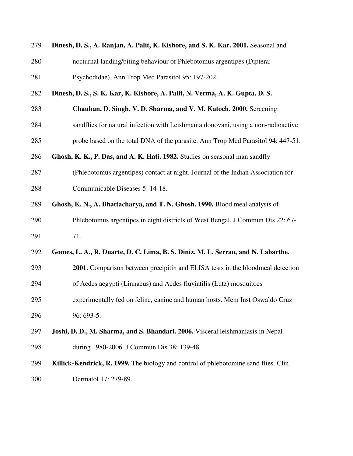| 279 | Dinesh, D. S., A. Ranjan, A. Palit, K. Kishore, and S. K. Kar. 2001. Seasonal and   |  |  |  |  |  |
|-----|-------------------------------------------------------------------------------------|--|--|--|--|--|
| 280 | nocturnal landing/biting behaviour of Phlebotomus argentipes (Diptera:              |  |  |  |  |  |
| 281 | Psychodidae). Ann Trop Med Parasitol 95: 197-202.                                   |  |  |  |  |  |
| 282 | Dinesh, D. S., S. K. Kar, K. Kishore, A. Palit, N. Verma, A. K. Gupta, D. S.        |  |  |  |  |  |
| 283 | Chauhan, D. Singh, V. D. Sharma, and V. M. Katoch. 2000. Screening                  |  |  |  |  |  |
| 284 | sandflies for natural infection with Leishmania donovani, using a non-radioactive   |  |  |  |  |  |
| 285 | probe based on the total DNA of the parasite. Ann Trop Med Parasitol 94: 447-51.    |  |  |  |  |  |
| 286 | Ghosh, K. K., P. Das, and A. K. Hati. 1982. Studies on seasonal man sandfly         |  |  |  |  |  |
| 287 | (Phlebotomus argentipes) contact at night. Journal of the Indian Association for    |  |  |  |  |  |
| 288 | Communicable Diseases 5: 14-18.                                                     |  |  |  |  |  |
| 289 | Ghosh, K. N., A. Bhattacharya, and T. N. Ghosh. 1990. Blood meal analysis of        |  |  |  |  |  |
| 290 | Phlebotomus argentipes in eight districts of West Bengal. J Commun Dis 22: 67-      |  |  |  |  |  |
| 291 | 71.                                                                                 |  |  |  |  |  |
| 292 | Gomes, L. A., R. Duarte, D. C. Lima, B. S. Diniz, M. L. Serrao, and N. Labarthe.    |  |  |  |  |  |
| 293 | 2001. Comparison between precipitin and ELISA tests in the bloodmeal detection      |  |  |  |  |  |
| 294 | of Aedes aegypti (Linnaeus) and Aedes fluviatilis (Lutz) mosquitoes                 |  |  |  |  |  |
| 295 | experimentally fed on feline, canine and human hosts. Mem Inst Oswaldo Cruz         |  |  |  |  |  |
| 296 | 96: 693-5.                                                                          |  |  |  |  |  |
| 297 | Joshi, D. D., M. Sharma, and S. Bhandari. 2006. Visceral leishmaniasis in Nepal     |  |  |  |  |  |
| 298 | during 1980-2006. J Commun Dis 38: 139-48.                                          |  |  |  |  |  |
| 299 | Killick-Kendrick, R. 1999. The biology and control of phlebotomine sand flies. Clin |  |  |  |  |  |
| 300 | Dermatol 17: 279-89.                                                                |  |  |  |  |  |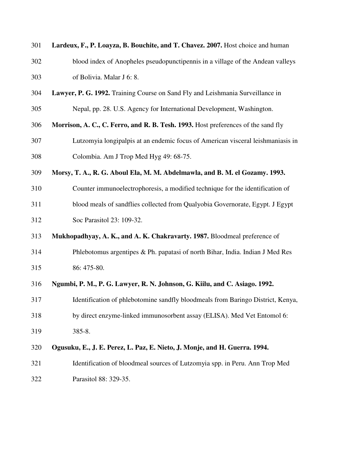| 301 | Lardeux, F., P. Loayza, B. Bouchite, and T. Chavez. 2007. Host choice and human   |  |  |  |  |  |
|-----|-----------------------------------------------------------------------------------|--|--|--|--|--|
| 302 | blood index of Anopheles pseudopunctipennis in a village of the Andean valleys    |  |  |  |  |  |
| 303 | of Bolivia. Malar J 6: 8.                                                         |  |  |  |  |  |
| 304 | Lawyer, P. G. 1992. Training Course on Sand Fly and Leishmania Surveillance in    |  |  |  |  |  |
| 305 | Nepal, pp. 28. U.S. Agency for International Development, Washington.             |  |  |  |  |  |
| 306 | Morrison, A. C., C. Ferro, and R. B. Tesh. 1993. Host preferences of the sand fly |  |  |  |  |  |
| 307 | Lutzomyia longipalpis at an endemic focus of American visceral leishmaniasis in   |  |  |  |  |  |
| 308 | Colombia. Am J Trop Med Hyg 49: 68-75.                                            |  |  |  |  |  |
| 309 | Morsy, T. A., R. G. Aboul Ela, M. M. Abdelmawla, and B. M. el Gozamy. 1993.       |  |  |  |  |  |
| 310 | Counter immunoelectrophoresis, a modified technique for the identification of     |  |  |  |  |  |
| 311 | blood meals of sandflies collected from Qualyobia Governorate, Egypt. J Egypt     |  |  |  |  |  |
| 312 | Soc Parasitol 23: 109-32.                                                         |  |  |  |  |  |
| 313 | Mukhopadhyay, A. K., and A. K. Chakravarty. 1987. Bloodmeal preference of         |  |  |  |  |  |
| 314 | Phlebotomus argentipes $& Ph.$ papatasi of north Bihar, India. Indian J Med Res   |  |  |  |  |  |
| 315 | 86: 475-80.                                                                       |  |  |  |  |  |
| 316 | Ngumbi, P. M., P. G. Lawyer, R. N. Johnson, G. Kiilu, and C. Asiago. 1992.        |  |  |  |  |  |
| 317 | Identification of phlebotomine sandfly bloodmeals from Baringo District, Kenya,   |  |  |  |  |  |
| 318 | by direct enzyme-linked immunosorbent assay (ELISA). Med Vet Entomol 6:           |  |  |  |  |  |
| 319 | 385-8.                                                                            |  |  |  |  |  |
| 320 | Ogusuku, E., J. E. Perez, L. Paz, E. Nieto, J. Monje, and H. Guerra. 1994.        |  |  |  |  |  |
| 321 | Identification of bloodmeal sources of Lutzomyia spp. in Peru. Ann Trop Med       |  |  |  |  |  |
| 322 | Parasitol 88: 329-35.                                                             |  |  |  |  |  |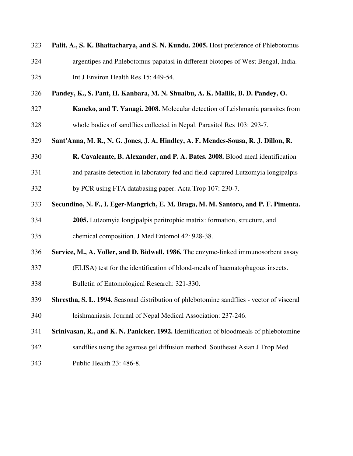| 323 | Palit, A., S. K. Bhattacharya, and S. N. Kundu. 2005. Host preference of Phlebotomus       |  |  |  |  |  |
|-----|--------------------------------------------------------------------------------------------|--|--|--|--|--|
| 324 | argentipes and Phlebotomus papatasi in different biotopes of West Bengal, India.           |  |  |  |  |  |
| 325 | Int J Environ Health Res 15: 449-54.                                                       |  |  |  |  |  |
| 326 | Pandey, K., S. Pant, H. Kanbara, M. N. Shuaibu, A. K. Mallik, B. D. Pandey, O.             |  |  |  |  |  |
| 327 | Kaneko, and T. Yanagi. 2008. Molecular detection of Leishmania parasites from              |  |  |  |  |  |
| 328 | whole bodies of sandflies collected in Nepal. Parasitol Res 103: 293-7.                    |  |  |  |  |  |
| 329 | Sant'Anna, M. R., N. G. Jones, J. A. Hindley, A. F. Mendes-Sousa, R. J. Dillon, R.         |  |  |  |  |  |
| 330 | R. Cavalcante, B. Alexander, and P. A. Bates. 2008. Blood meal identification              |  |  |  |  |  |
| 331 | and parasite detection in laboratory-fed and field-captured Lutzomyia longipalpis          |  |  |  |  |  |
| 332 | by PCR using FTA databasing paper. Acta Trop 107: 230-7.                                   |  |  |  |  |  |
| 333 | Secundino, N. F., I. Eger-Mangrich, E. M. Braga, M. M. Santoro, and P. F. Pimenta.         |  |  |  |  |  |
| 334 | 2005. Lutzomyia longipalpis peritrophic matrix: formation, structure, and                  |  |  |  |  |  |
| 335 | chemical composition. J Med Entomol 42: 928-38.                                            |  |  |  |  |  |
| 336 | Service, M., A. Voller, and D. Bidwell. 1986. The enzyme-linked immunosorbent assay        |  |  |  |  |  |
| 337 | (ELISA) test for the identification of blood-meals of haematophagous insects.              |  |  |  |  |  |
| 338 | Bulletin of Entomological Research: 321-330.                                               |  |  |  |  |  |
| 339 | Shrestha, S. L. 1994. Seasonal distribution of phlebotomine sandflies - vector of visceral |  |  |  |  |  |
| 340 | leishmaniasis. Journal of Nepal Medical Association: 237-246.                              |  |  |  |  |  |
| 341 | Srinivasan, R., and K. N. Panicker. 1992. Identification of bloodmeals of phlebotomine     |  |  |  |  |  |
| 342 | sandflies using the agarose gel diffusion method. Southeast Asian J Trop Med               |  |  |  |  |  |
| 343 | Public Health 23: 486-8.                                                                   |  |  |  |  |  |
|     |                                                                                            |  |  |  |  |  |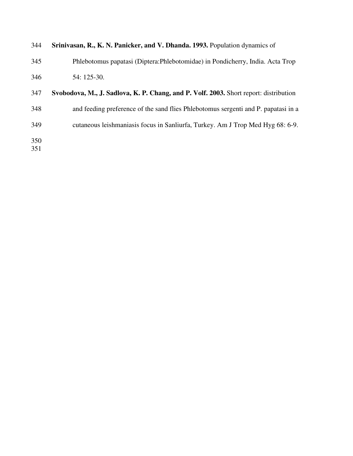| 344 | Srinivasan, R., K. N. Panicker, and V. Dhanda. 1993. Population dynamics of           |  |  |  |  |
|-----|---------------------------------------------------------------------------------------|--|--|--|--|
| 345 | Phlebotomus papatasi (Diptera: Phlebotomidae) in Pondicherry, India. Acta Trop        |  |  |  |  |
| 346 | 54: 125-30.                                                                           |  |  |  |  |
| 347 | Svobodova, M., J. Sadlova, K. P. Chang, and P. Volf. 2003. Short report: distribution |  |  |  |  |
| 348 | and feeding preference of the sand flies Phlebotomus sergenti and P. papatasi in a    |  |  |  |  |
| 349 | cutaneous leishmaniasis focus in Sanliurfa, Turkey. Am J Trop Med Hyg 68: 6-9.        |  |  |  |  |
| 350 |                                                                                       |  |  |  |  |
| 351 |                                                                                       |  |  |  |  |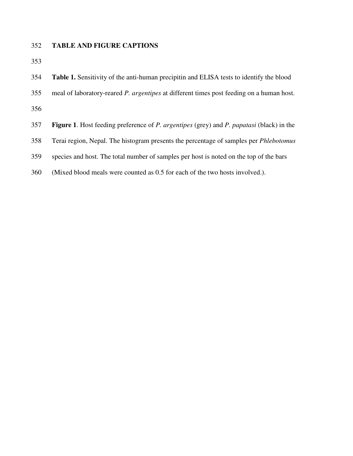## 352 **TABLE AND FIGURE CAPTIONS**

353

| 354 |  |  |  | <b>Table 1.</b> Sensitivity of the anti-human precipitin and ELISA tests to identify the blood |
|-----|--|--|--|------------------------------------------------------------------------------------------------|
|-----|--|--|--|------------------------------------------------------------------------------------------------|

355 meal of laboratory-reared *P. argentipes* at different times post feeding on a human host.

356

- 357 **Figure 1**. Host feeding preference of *P. argentipes* (grey) and *P. papatasi* (black) in the
- 358 Terai region, Nepal. The histogram presents the percentage of samples per *Phlebotomus*
- 359 species and host. The total number of samples per host is noted on the top of the bars
- 360 (Mixed blood meals were counted as 0.5 for each of the two hosts involved.).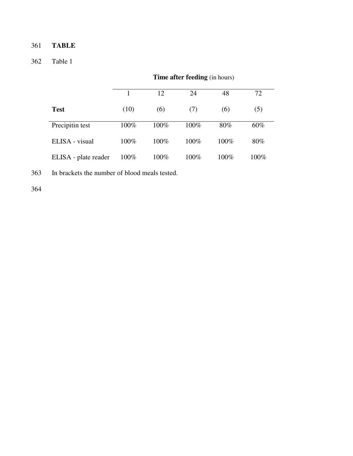# 361 **TABLE**

# 362 Table 1

|                      |      | 12   | 24      | 48   | 72   |
|----------------------|------|------|---------|------|------|
| <b>Test</b>          | (10) | (6)  | (7)     | (6)  | (5)  |
| Precipitin test      | 100% | 100% | $100\%$ | 80%  | 60%  |
| ELISA - visual       | 100% | 100% | 100%    | 100% | 80%  |
| ELISA - plate reader | 100% | 100% | $100\%$ | 100% | 100% |

**Time after feeding** (in hours)

363 In brackets the number of blood meals tested.

364